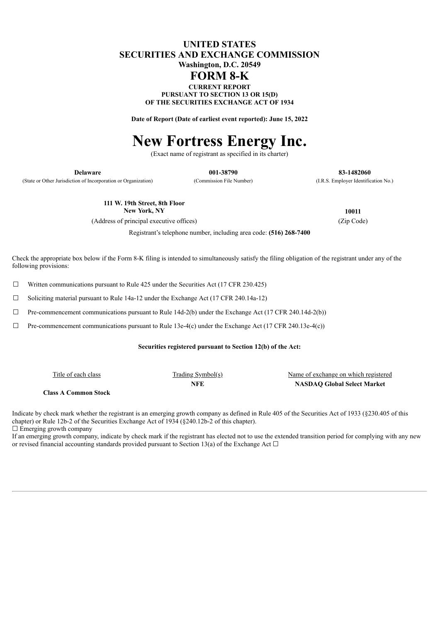# **UNITED STATES SECURITIES AND EXCHANGE COMMISSION Washington, D.C. 20549**

# **FORM 8-K**

**CURRENT REPORT PURSUANT TO SECTION 13 OR 15(D) OF THE SECURITIES EXCHANGE ACT OF 1934**

**Date of Report (Date of earliest event reported): June 15, 2022**

# **New Fortress Energy Inc.**

(Exact name of registrant as specified in its charter)

(State or Other Jurisdiction of Incorporation or Organization) (Commission File Number) (I.R.S. Employer Identification No.)

**Delaware 001-38790 83-1482060**

**111 W. 19th Street, 8th Floor New York, NY 10011**

(Address of principal executive offices) (Zip Code)

Registrant's telephone number, including area code: **(516) 268-7400**

Check the appropriate box below if the Form 8-K filing is intended to simultaneously satisfy the filing obligation of the registrant under any of the following provisions:

 $\Box$  Written communications pursuant to Rule 425 under the Securities Act (17 CFR 230.425)

 $\Box$  Soliciting material pursuant to Rule 14a-12 under the Exchange Act (17 CFR 240.14a-12)

☐ Pre-commencement communications pursuant to Rule 14d-2(b) under the Exchange Act (17 CFR 240.14d-2(b))

 $\Box$  Pre-commencement communications pursuant to Rule 13e-4(c) under the Exchange Act (17 CFR 240.13e-4(c))

#### **Securities registered pursuant to Section 12(b) of the Act:**

| Title of each class         | <u>Trading Symbol(s)</u> | Name of exchange on which registered |
|-----------------------------|--------------------------|--------------------------------------|
|                             | NFE                      | <b>NASDAO Global Select Market</b>   |
| <b>Class A Common Stock</b> |                          |                                      |

Indicate by check mark whether the registrant is an emerging growth company as defined in Rule 405 of the Securities Act of 1933 (§230.405 of this chapter) or Rule 12b-2 of the Securities Exchange Act of 1934 (§240.12b-2 of this chapter).  $\Box$  Emerging growth company

If an emerging growth company, indicate by check mark if the registrant has elected not to use the extended transition period for complying with any new or revised financial accounting standards provided pursuant to Section 13(a) of the Exchange Act  $\Box$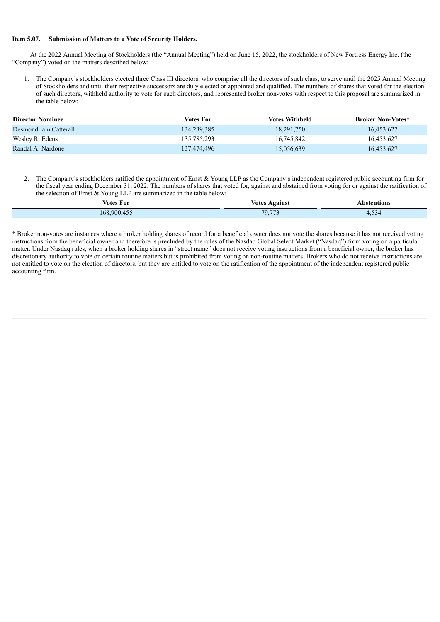#### **Item 5.07. Submission of Matters to a Vote of Security Holders.**

At the 2022 Annual Meeting of Stockholders (the "Annual Meeting") held on June 15, 2022, the stockholders of New Fortress Energy Inc. (the "Company") voted on the matters described below:

1. The Company's stockholders elected three Class III directors, who comprise all the directors of such class, to serve until the 2025 Annual Meeting of Stockholders and until their respective successors are duly elected or appointed and qualified. The numbers of shares that voted for the election of such directors, withheld authority to vote for such directors, and represented broker non-votes with respect to this proposal are summarized in the table below:

| <b>Director Nominee</b> | Votes For   | <b>Votes Withheld</b> | <b>Broker Non-Votes*</b> |
|-------------------------|-------------|-----------------------|--------------------------|
| Desmond Jain Catterall  | 134,239,385 | 18,291,750            | 16,453,627               |
| Wesley R. Edens         | 135,785,293 | 16.745.842            | 16,453,627               |
| Randal A. Nardone       | 137.474.496 | 15,056,639            | 16,453,627               |

2. The Company's stockholders ratified the appointment of Ernst & Young LLP as the Company's independent registered public accounting firm for the fiscal year ending December 31, 2022. The numbers of shares that voted for, against and abstained from voting for or against the ratification of the selection of Ernst & Young LLP are summarized in the table below:

| __<br>Votes For | <b>Votes Against</b> | <b>\bstentions</b> |
|-----------------|----------------------|--------------------|
| 168,900,455     | 70.773<br>7.113      | 4.335              |

\* Broker non-votes are instances where a broker holding shares of record for a beneficial owner does not vote the shares because it has not received voting instructions from the beneficial owner and therefore is precluded by the rules of the Nasdaq Global Select Market ("Nasdaq") from voting on a particular matter. Under Nasdaq rules, when a broker holding shares in "street name" does not receive voting instructions from a beneficial owner, the broker has discretionary authority to vote on certain routine matters but is prohibited from voting on non-routine matters. Brokers who do not receive instructions are not entitled to vote on the election of directors, but they are entitled to vote on the ratification of the appointment of the independent registered public accounting firm.